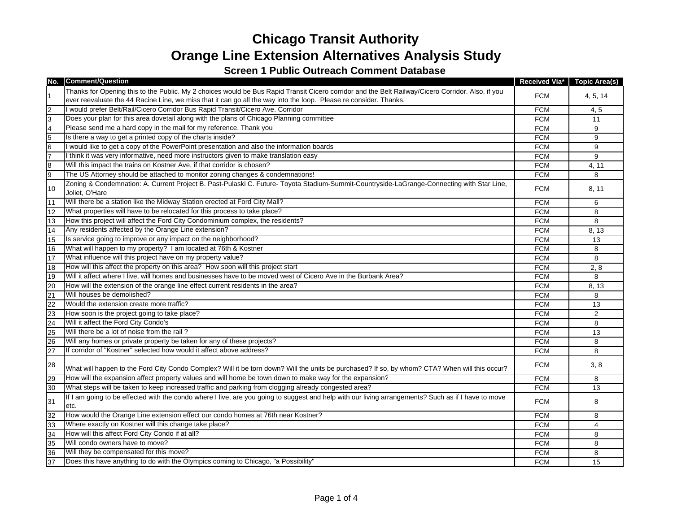## **Chicago Transit Authority Orange Line Extension Alternatives Analysis Study**

## **Screen 1 Public Outreach Comment Database**

| No.             | <b>Comment/Question</b>                                                                                                                                      |            | Received Via* Topic Area(s) |
|-----------------|--------------------------------------------------------------------------------------------------------------------------------------------------------------|------------|-----------------------------|
|                 | Thanks for Opening this to the Public. My 2 choices would be Bus Rapid Transit Cicero corridor and the Belt Railway/Cicero Corridor. Also, if you            |            |                             |
|                 | ever reevaluate the 44 Racine Line, we miss that it can go all the way into the loop. Please re consider. Thanks.                                            | <b>FCM</b> | 4, 5, 14                    |
| $\overline{2}$  | I would prefer Belt/Rail/Cicero Corridor Bus Rapid Transit/Cicero Ave. Corridor                                                                              | <b>FCM</b> | 4, 5                        |
| 3               | Does your plan for this area dovetail along with the plans of Chicago Planning committee                                                                     | <b>FCM</b> | 11                          |
| $\overline{4}$  | Please send me a hard copy in the mail for my reference. Thank you                                                                                           | <b>FCM</b> | 9                           |
| 5               | Is there a way to get a printed copy of the charts inside?                                                                                                   | <b>FCM</b> | 9                           |
| $\overline{6}$  | I would like to get a copy of the PowerPoint presentation and also the information boards                                                                    | <b>FCM</b> | 9                           |
| 7               | I think it was very informative, need more instructors given to make translation easy                                                                        | <b>FCM</b> | 9                           |
| $\bf{8}$        | Will this impact the trains on Kostner Ave, if that corridor is chosen?                                                                                      | <b>FCM</b> | 4, 11                       |
| 9               | The US Attorney should be attached to monitor zoning changes & condemnations!                                                                                | <b>FCM</b> | 8                           |
| 10              | Zoning & Condemnation: A. Current Project B. Past-Pulaski C. Future- Toyota Stadium-Summit-Countryside-LaGrange-Connecting with Star Line,<br>Joliet, O'Hare | <b>FCM</b> | 8, 11                       |
| 11              | Will there be a station like the Midway Station erected at Ford City Mall?                                                                                   | <b>FCM</b> | 6                           |
| 12              | What properties will have to be relocated for this process to take place?                                                                                    | <b>FCM</b> | 8                           |
| 13              | How this project will affect the Ford City Condominium complex, the residents?                                                                               | <b>FCM</b> | 8                           |
| 14              | Any residents affected by the Orange Line extension?                                                                                                         | <b>FCM</b> | 8, 13                       |
| 15              | Is service going to improve or any impact on the neighborhood?                                                                                               | <b>FCM</b> | 13                          |
| 16              | What will happen to my property? I am located at 76th & Kostner                                                                                              | <b>FCM</b> | 8                           |
| 17              | What influence will this project have on my property value?                                                                                                  | <b>FCM</b> | 8                           |
| $\overline{18}$ | How will this affect the property on this area? How soon will this project start                                                                             | <b>FCM</b> | 2,8                         |
| 19              | Will it affect where I live, will homes and businesses have to be moved west of Cicero Ave in the Burbank Area?                                              | <b>FCM</b> | 8                           |
| 20              | How will the extension of the orange line effect current residents in the area?                                                                              | <b>FCM</b> | 8, 13                       |
| 21              | Will houses be demolished?                                                                                                                                   | <b>FCM</b> | 8                           |
| 22              | Would the extension create more traffic?                                                                                                                     | <b>FCM</b> | 13                          |
| $\overline{c}$  | How soon is the project going to take place?                                                                                                                 | <b>FCM</b> | 2                           |
| 24              | Will it affect the Ford City Condo's                                                                                                                         | <b>FCM</b> | 8                           |
| 25              | Will there be a lot of noise from the rail?                                                                                                                  | <b>FCM</b> | 13                          |
| 26              | Will any homes or private property be taken for any of these projects?                                                                                       | <b>FCM</b> | 8                           |
| 27              | If corridor of "Kostner" selected how would it affect above address?                                                                                         | <b>FCM</b> | 8                           |
| 28              | What will happen to the Ford City Condo Complex? Will it be torn down? Will the units be purchased? If so, by whom? CTA? When will this occur?               | <b>FCM</b> | 3,8                         |
| 29              | How will the expansion affect property values and will home be town down to make way for the expansion?                                                      | <b>FCM</b> | 8                           |
| 30              | What steps will be taken to keep increased traffic and parking from clogging already congested area?                                                         | <b>FCM</b> | 13                          |
| 31              | If I am going to be effected with the condo where I live, are you going to suggest and help with our living arrangements? Such as if I have to move<br>etc.  | <b>FCM</b> | 8                           |
| 32              | How would the Orange Line extension effect our condo homes at 76th near Kostner?                                                                             | <b>FCM</b> | 8                           |
| 33              | Where exactly on Kostner will this change take place?                                                                                                        | <b>FCM</b> | 4                           |
| $rac{4}{5}$     | How will this affect Ford City Condo if at all?                                                                                                              | <b>FCM</b> | 8                           |
| 35              | Will condo owners have to move?                                                                                                                              | <b>FCM</b> | 8                           |
| 36              | Will they be compensated for this move?                                                                                                                      | <b>FCM</b> | 8                           |
| $\overline{37}$ | Does this have anything to do with the Olympics coming to Chicago, "a Possibility"                                                                           | <b>FCM</b> | 15                          |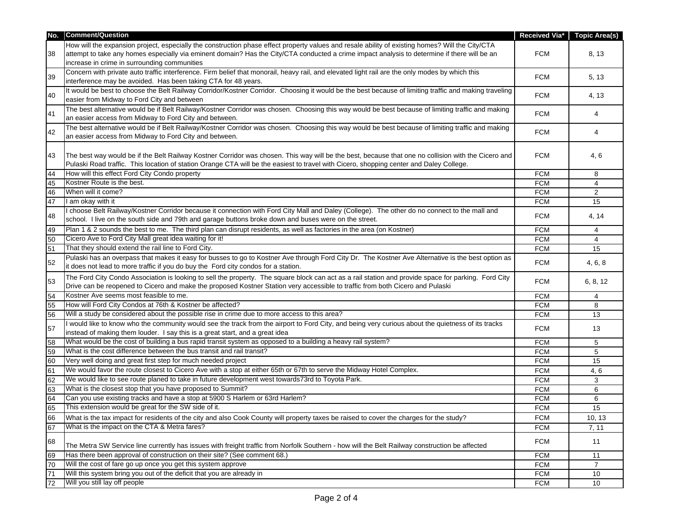| No. | <b>Comment/Question</b>                                                                                                                               | Received Via* | <b>Topic Area(s)</b> |
|-----|-------------------------------------------------------------------------------------------------------------------------------------------------------|---------------|----------------------|
|     | How will the expansion project, especially the construction phase effect property values and resale ability of existing homes? Will the City/CTA      |               |                      |
| 38  | attempt to take any homes especially via eminent domain? Has the City/CTA conducted a crime impact analysis to determine if there will be an          | <b>FCM</b>    | 8, 13                |
|     | increase in crime in surrounding communities                                                                                                          |               |                      |
| 39  | Concern with private auto traffic interference. Firm belief that monorail, heavy rail, and elevated light rail are the only modes by which this       | <b>FCM</b>    |                      |
|     | interference may be avoided. Has been taking CTA for 48 years.                                                                                        |               | 5, 13                |
| 40  | It would be best to choose the Belt Railway Corridor/Kostner Corridor. Choosing it would be the best because of limiting traffic and making traveling | <b>FCM</b>    | 4, 13                |
|     | easier from Midway to Ford City and between                                                                                                           |               |                      |
| 41  | The best alternative would be if Belt Railway/Kostner Corridor was chosen. Choosing this way would be best because of limiting traffic and making     | <b>FCM</b>    | 4                    |
|     | an easier access from Midway to Ford City and between.                                                                                                |               |                      |
| 42  | The best alternative would be if Belt Railway/Kostner Corridor was chosen. Choosing this way would be best because of limiting traffic and making     | <b>FCM</b>    | 4                    |
|     | an easier access from Midway to Ford City and between.                                                                                                |               |                      |
|     |                                                                                                                                                       |               |                      |
| 43  | The best way would be if the Belt Railway Kostner Corridor was chosen. This way will be the best, because that one no collision with the Cicero and   | <b>FCM</b>    | 4,6                  |
|     | Pulaski Road traffic. This location of station Orange CTA will be the easiest to travel with Cicero, shopping center and Daley College.               |               |                      |
| 44  | How will this effect Ford City Condo property                                                                                                         | <b>FCM</b>    | 8                    |
| 45  | Kostner Route is the best.                                                                                                                            | <b>FCM</b>    | 4                    |
| 46  | When will it come?                                                                                                                                    | <b>FCM</b>    | 2                    |
| 47  | I am okay with it                                                                                                                                     | <b>FCM</b>    | 15                   |
| 48  | I choose Belt Railway/Kostner Corridor because it connection with Ford City Mall and Daley (College). The other do no connect to the mall and         | <b>FCM</b>    | 4, 14                |
|     | school. I live on the south side and 79th and garage buttons broke down and buses were on the street.                                                 |               |                      |
| 49  | Plan 1 & 2 sounds the best to me. The third plan can disrupt residents, as well as factories in the area (on Kostner)                                 | <b>FCM</b>    | 4                    |
| 50  | Cicero Ave to Ford City Mall great idea waiting for it!                                                                                               | <b>FCM</b>    | 4                    |
| 51  | That they should extend the rail line to Ford City.                                                                                                   | <b>FCM</b>    | 15                   |
| 52  | Pulaski has an overpass that makes it easy for busses to go to Kostner Ave through Ford City Dr. The Kostner Ave Alternative is the best option as    | <b>FCM</b>    | 4, 6, 8              |
|     | it does not lead to more traffic if you do buy the Ford city condos for a station.                                                                    |               |                      |
| 53  | The Ford City Condo Association is looking to sell the property. The square block can act as a rail station and provide space for parking. Ford City  | <b>FCM</b>    | 6, 8, 12             |
|     | Drive can be reopened to Cicero and make the proposed Kostner Station very accessible to traffic from both Cicero and Pulaski                         |               |                      |
| 54  | Kostner Ave seems most feasible to me.                                                                                                                | <b>FCM</b>    | 4                    |
| 55  | How will Ford City Condos at 76th & Kostner be affected?                                                                                              | <b>FCM</b>    | 8                    |
| 56  | Will a study be considered about the possible rise in crime due to more access to this area?                                                          | <b>FCM</b>    | 13                   |
| 57  | I would like to know who the community would see the track from the airport to Ford City, and being very curious about the quietness of its tracks    | <b>FCM</b>    | 13                   |
|     | instead of making them louder. I say this is a great start, and a great idea                                                                          |               |                      |
| 58  | What would be the cost of building a bus rapid transit system as opposed to a building a heavy rail system?                                           | <b>FCM</b>    | 5                    |
| 59  | What is the cost difference between the bus transit and rail transit?                                                                                 | <b>FCM</b>    | 5                    |
| 60  | Very well doing and great first step for much needed project                                                                                          | <b>FCM</b>    | 15                   |
| 61  | We would favor the route closest to Cicero Ave with a stop at either 65th or 67th to serve the Midway Hotel Complex.                                  | <b>FCM</b>    | 4, 6                 |
| 62  | We would like to see route planed to take in future development west towards73rd to Toyota Park.                                                      | <b>FCM</b>    | 3                    |
| 63  | What is the closest stop that you have proposed to Summit?                                                                                            | <b>FCM</b>    | 6                    |
| 64  | Can you use existing tracks and have a stop at 5900 S Harlem or 63rd Harlem?                                                                          | <b>FCM</b>    | 6                    |
| 65  | This extension would be great for the SW side of it.                                                                                                  | <b>FCM</b>    | 15                   |
| 66  | What is the tax impact for residents of the city and also Cook County will property taxes be raised to cover the charges for the study?               | <b>FCM</b>    | 10, 13               |
| 67  | What is the impact on the CTA & Metra fares?                                                                                                          | <b>FCM</b>    | 7, 11                |
|     |                                                                                                                                                       |               |                      |
| 68  | The Metra SW Service line currently has issues with freight traffic from Norfolk Southern - how will the Belt Railway construction be affected        | <b>FCM</b>    | 11                   |
| 69  | Has there been approval of construction on their site? (See comment 68.)                                                                              | <b>FCM</b>    | 11                   |
| 70  | Will the cost of fare go up once you get this system approve                                                                                          | <b>FCM</b>    | $\overline{7}$       |
| 71  | Will this system bring you out of the deficit that you are already in                                                                                 | <b>FCM</b>    | 10                   |
| 72  | Will you still lay off people                                                                                                                         | <b>FCM</b>    | 10                   |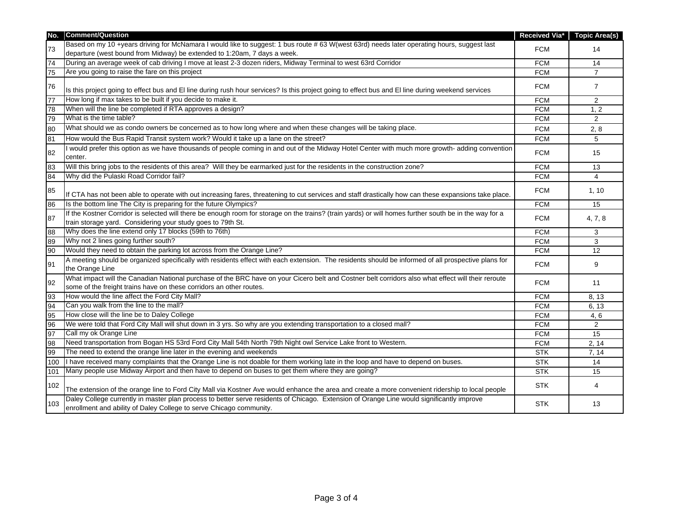| No.             | <b>Comment/Question</b>                                                                                                                                                                                                   |            | Received Via* Topic Area(s) |
|-----------------|---------------------------------------------------------------------------------------------------------------------------------------------------------------------------------------------------------------------------|------------|-----------------------------|
|                 | Based on my 10 +years driving for McNamara I would like to suggest: 1 bus route #63 W(west 63rd) needs later operating hours, suggest last                                                                                |            |                             |
| 73              | departure (west bound from Midway) be extended to 1:20am, 7 days a week.                                                                                                                                                  | <b>FCM</b> | 14                          |
| 74              | During an average week of cab driving I move at least 2-3 dozen riders, Midway Terminal to west 63rd Corridor                                                                                                             | <b>FCM</b> | 14                          |
| 75              | Are you going to raise the fare on this project                                                                                                                                                                           | <b>FCM</b> | $\overline{7}$              |
| 76              |                                                                                                                                                                                                                           | <b>FCM</b> | $\overline{7}$              |
|                 | Is this project going to effect bus and El line during rush hour services? Is this project going to effect bus and El line during weekend services                                                                        |            |                             |
| $\overline{77}$ | How long if max takes to be built if you decide to make it.                                                                                                                                                               | <b>FCM</b> | $\overline{2}$              |
| 78              | When will the line be completed if RTA approves a design?                                                                                                                                                                 | <b>FCM</b> | 1, 2                        |
| 79              | What is the time table?                                                                                                                                                                                                   | <b>FCM</b> | $\overline{2}$              |
| 80              | What should we as condo owners be concerned as to how long where and when these changes will be taking place.                                                                                                             | <b>FCM</b> | 2, 8                        |
| 81              | How would the Bus Rapid Transit system work? Would it take up a lane on the street?                                                                                                                                       | <b>FCM</b> | 5                           |
| 82              | I would prefer this option as we have thousands of people coming in and out of the Midway Hotel Center with much more growth-adding convention                                                                            | <b>FCM</b> | 15                          |
|                 | center.                                                                                                                                                                                                                   |            |                             |
| 83              | Will this bring jobs to the residents of this area? Will they be earmarked just for the residents in the construction zone?                                                                                               | <b>FCM</b> | 13                          |
| 84              | Why did the Pulaski Road Corridor fail?                                                                                                                                                                                   | <b>FCM</b> | $\overline{4}$              |
| 85              | If CTA has not been able to operate with out increasing fares, threatening to cut services and staff drastically how can these expansions take place.                                                                     | <b>FCM</b> | 1, 10                       |
| 86              | Is the bottom line The City is preparing for the future Olympics?                                                                                                                                                         | <b>FCM</b> | 15                          |
| 87              | If the Kostner Corridor is selected will there be enough room for storage on the trains? (train yards) or will homes further south be in the way for a                                                                    | <b>FCM</b> | 4, 7, 8                     |
|                 | train storage yard. Considering your study goes to 79th St.                                                                                                                                                               |            |                             |
| $\overline{88}$ | Why does the line extend only 17 blocks (59th to 76th)                                                                                                                                                                    | <b>FCM</b> | 3                           |
| 89              | Why not 2 lines going further south?                                                                                                                                                                                      | <b>FCM</b> | 3                           |
| 90              | Would they need to obtain the parking lot across from the Orange Line?                                                                                                                                                    | <b>FCM</b> | 12                          |
| 91              | A meeting should be organized specifically with residents effect with each extension. The residents should be informed of all prospective plans for<br>the Orange Line                                                    | <b>FCM</b> | 9                           |
| 92              | What impact will the Canadian National purchase of the BRC have on your Cicero belt and Costner belt corridors also what effect will their reroute<br>some of the freight trains have on these corridors an other routes. | <b>FCM</b> | 11                          |
| 93              | How would the line affect the Ford City Mall?                                                                                                                                                                             | <b>FCM</b> | 8, 13                       |
| 94              | Can you walk from the line to the mall?                                                                                                                                                                                   | <b>FCM</b> | 6, 13                       |
| 95              | How close will the line be to Daley College                                                                                                                                                                               | <b>FCM</b> | 4,6                         |
| $\overline{96}$ | We were told that Ford City Mall will shut down in 3 yrs. So why are you extending transportation to a closed mall?                                                                                                       | <b>FCM</b> | $\overline{2}$              |
| 97              | Call my ok Orange Line                                                                                                                                                                                                    | <b>FCM</b> | 15                          |
| 98              | Need transportation from Bogan HS 53rd Ford City Mall 54th North 79th Night owl Service Lake front to Western.                                                                                                            | <b>FCM</b> | 2, 14                       |
| 99              | The need to extend the orange line later in the evening and weekends                                                                                                                                                      | <b>STK</b> | 7, 14                       |
| 100             | I have received many complaints that the Orange Line is not doable for them working late in the loop and have to depend on buses.                                                                                         | <b>STK</b> | 14                          |
| 101             | Many people use Midway Airport and then have to depend on buses to get them where they are going?                                                                                                                         | <b>STK</b> | 15                          |
| 102             | The extension of the orange line to Ford City Mall via Kostner Ave would enhance the area and create a more convenient ridership to local people                                                                          | <b>STK</b> | 4                           |
| 103             | Daley College currently in master plan process to better serve residents of Chicago. Extension of Orange Line would significantly improve<br>enrollment and ability of Daley College to serve Chicago community.          | <b>STK</b> | 13                          |